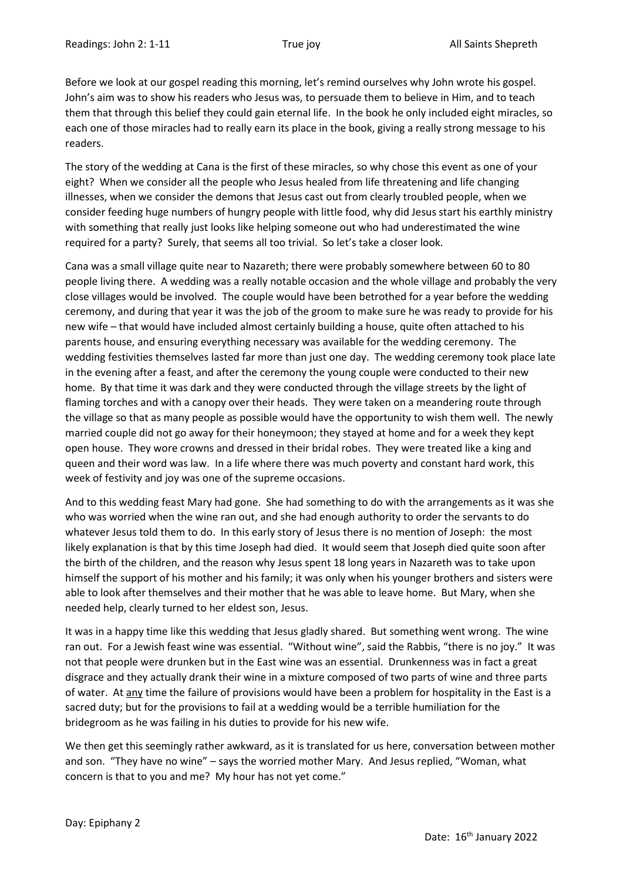Before we look at our gospel reading this morning, let's remind ourselves why John wrote his gospel. John's aim was to show his readers who Jesus was, to persuade them to believe in Him, and to teach them that through this belief they could gain eternal life. In the book he only included eight miracles, so each one of those miracles had to really earn its place in the book, giving a really strong message to his readers.

The story of the wedding at Cana is the first of these miracles, so why chose this event as one of your eight? When we consider all the people who Jesus healed from life threatening and life changing illnesses, when we consider the demons that Jesus cast out from clearly troubled people, when we consider feeding huge numbers of hungry people with little food, why did Jesus start his earthly ministry with something that really just looks like helping someone out who had underestimated the wine required for a party? Surely, that seems all too trivial. So let's take a closer look.

Cana was a small village quite near to Nazareth; there were probably somewhere between 60 to 80 people living there. A wedding was a really notable occasion and the whole village and probably the very close villages would be involved. The couple would have been betrothed for a year before the wedding ceremony, and during that year it was the job of the groom to make sure he was ready to provide for his new wife – that would have included almost certainly building a house, quite often attached to his parents house, and ensuring everything necessary was available for the wedding ceremony. The wedding festivities themselves lasted far more than just one day. The wedding ceremony took place late in the evening after a feast, and after the ceremony the young couple were conducted to their new home. By that time it was dark and they were conducted through the village streets by the light of flaming torches and with a canopy over their heads. They were taken on a meandering route through the village so that as many people as possible would have the opportunity to wish them well. The newly married couple did not go away for their honeymoon; they stayed at home and for a week they kept open house. They wore crowns and dressed in their bridal robes. They were treated like a king and queen and their word was law. In a life where there was much poverty and constant hard work, this week of festivity and joy was one of the supreme occasions.

And to this wedding feast Mary had gone. She had something to do with the arrangements as it was she who was worried when the wine ran out, and she had enough authority to order the servants to do whatever Jesus told them to do. In this early story of Jesus there is no mention of Joseph: the most likely explanation is that by this time Joseph had died. It would seem that Joseph died quite soon after the birth of the children, and the reason why Jesus spent 18 long years in Nazareth was to take upon himself the support of his mother and his family; it was only when his younger brothers and sisters were able to look after themselves and their mother that he was able to leave home. But Mary, when she needed help, clearly turned to her eldest son, Jesus.

It was in a happy time like this wedding that Jesus gladly shared. But something went wrong. The wine ran out. For a Jewish feast wine was essential. "Without wine", said the Rabbis, "there is no joy." It was not that people were drunken but in the East wine was an essential. Drunkenness was in fact a great disgrace and they actually drank their wine in a mixture composed of two parts of wine and three parts of water. At any time the failure of provisions would have been a problem for hospitality in the East is a sacred duty; but for the provisions to fail at a wedding would be a terrible humiliation for the bridegroom as he was failing in his duties to provide for his new wife.

We then get this seemingly rather awkward, as it is translated for us here, conversation between mother and son. "They have no wine" – says the worried mother Mary. And Jesus replied, "Woman, what concern is that to you and me? My hour has not yet come."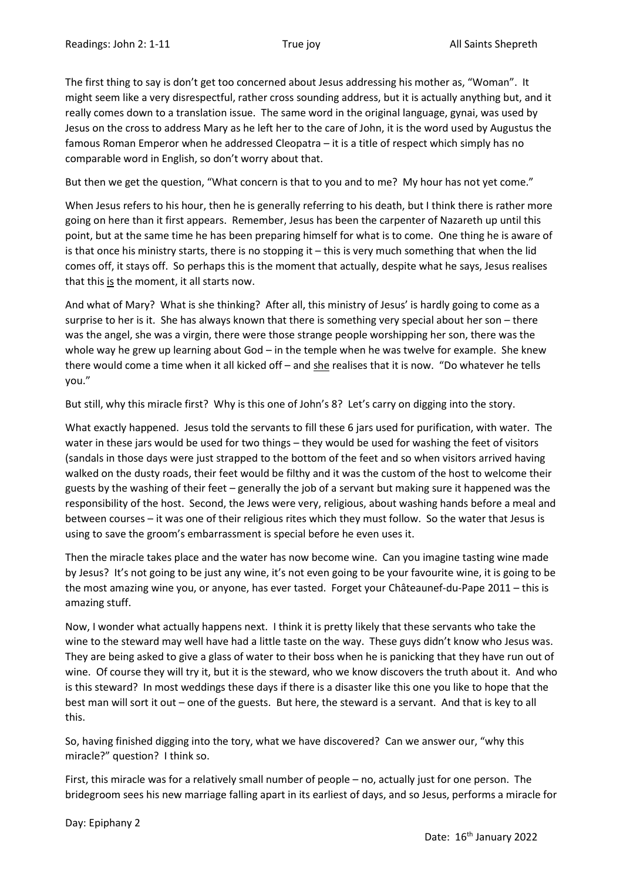The first thing to say is don't get too concerned about Jesus addressing his mother as, "Woman". It might seem like a very disrespectful, rather cross sounding address, but it is actually anything but, and it really comes down to a translation issue. The same word in the original language, gynai, was used by Jesus on the cross to address Mary as he left her to the care of John, it is the word used by Augustus the famous Roman Emperor when he addressed Cleopatra – it is a title of respect which simply has no comparable word in English, so don't worry about that.

But then we get the question, "What concern is that to you and to me? My hour has not yet come."

When Jesus refers to his hour, then he is generally referring to his death, but I think there is rather more going on here than it first appears. Remember, Jesus has been the carpenter of Nazareth up until this point, but at the same time he has been preparing himself for what is to come. One thing he is aware of is that once his ministry starts, there is no stopping it – this is very much something that when the lid comes off, it stays off. So perhaps this is the moment that actually, despite what he says, Jesus realises that this is the moment, it all starts now.

And what of Mary? What is she thinking? After all, this ministry of Jesus' is hardly going to come as a surprise to her is it. She has always known that there is something very special about her son – there was the angel, she was a virgin, there were those strange people worshipping her son, there was the whole way he grew up learning about God – in the temple when he was twelve for example. She knew there would come a time when it all kicked off – and she realises that it is now. "Do whatever he tells you."

But still, why this miracle first? Why is this one of John's 8? Let's carry on digging into the story.

What exactly happened. Jesus told the servants to fill these 6 jars used for purification, with water. The water in these jars would be used for two things – they would be used for washing the feet of visitors (sandals in those days were just strapped to the bottom of the feet and so when visitors arrived having walked on the dusty roads, their feet would be filthy and it was the custom of the host to welcome their guests by the washing of their feet – generally the job of a servant but making sure it happened was the responsibility of the host. Second, the Jews were very, religious, about washing hands before a meal and between courses – it was one of their religious rites which they must follow. So the water that Jesus is using to save the groom's embarrassment is special before he even uses it.

Then the miracle takes place and the water has now become wine. Can you imagine tasting wine made by Jesus? It's not going to be just any wine, it's not even going to be your favourite wine, it is going to be the most amazing wine you, or anyone, has ever tasted. Forget your Châteaunef-du-Pape 2011 – this is amazing stuff.

Now, I wonder what actually happens next. I think it is pretty likely that these servants who take the wine to the steward may well have had a little taste on the way. These guys didn't know who Jesus was. They are being asked to give a glass of water to their boss when he is panicking that they have run out of wine. Of course they will try it, but it is the steward, who we know discovers the truth about it. And who is this steward? In most weddings these days if there is a disaster like this one you like to hope that the best man will sort it out – one of the guests. But here, the steward is a servant. And that is key to all this.

So, having finished digging into the tory, what we have discovered? Can we answer our, "why this miracle?" question? I think so.

First, this miracle was for a relatively small number of people – no, actually just for one person. The bridegroom sees his new marriage falling apart in its earliest of days, and so Jesus, performs a miracle for